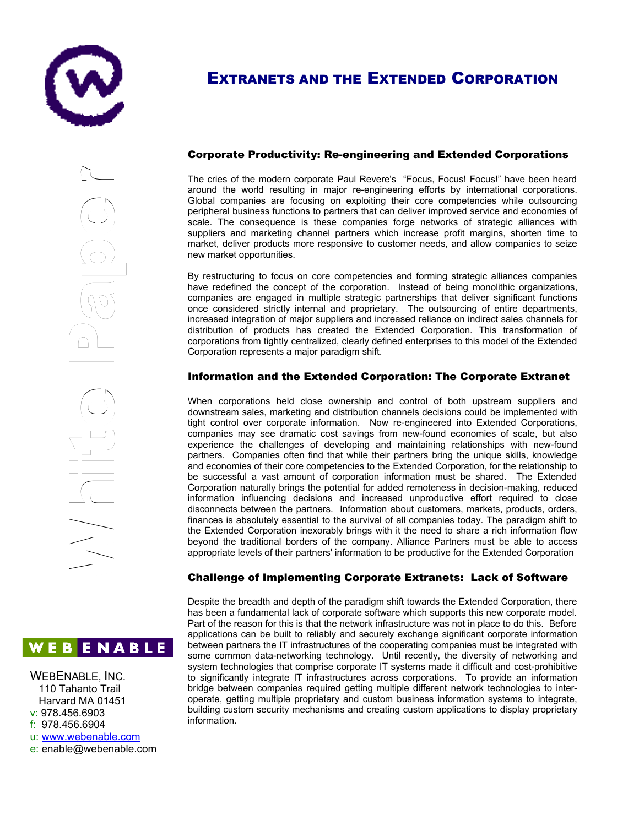

# EXTRANETS AND THE EXTENDED CORPORATION

Corporate Productivity: Re-engineering and Extended Corporations

The cries of the modern corporate Paul Revere's "Focus, Focus! Focus!" have been heard around the world resulting in major re-engineering efforts by international corporations. Global companies are focusing on exploiting their core competencies while outsourcing peripheral business functions to partners that can deliver improved service and economies of scale. The consequence is these companies forge networks of strategic alliances with suppliers and marketing channel partners which increase profit margins, shorten time to market, deliver products more responsive to customer needs, and allow companies to seize new market opportunities.

By restructuring to focus on core competencies and forming strategic alliances companies have redefined the concept of the corporation. Instead of being monolithic organizations, companies are engaged in multiple strategic partnerships that deliver significant functions once considered strictly internal and proprietary. The outsourcing of entire departments, increased integration of major suppliers and increased reliance on indirect sales channels for distribution of products has created the Extended Corporation. This transformation of corporations from tightly centralized, clearly defined enterprises to this model of the Extended Corporation represents a major paradigm shift.

## Information and the Extended Corporation: The Corporate Extranet

When corporations held close ownership and control of both upstream suppliers and downstream sales, marketing and distribution channels decisions could be implemented with tight control over corporate information. Now re-engineered into Extended Corporations, companies may see dramatic cost savings from new-found economies of scale, but also experience the challenges of developing and maintaining relationships with new-found partners. Companies often find that while their partners bring the unique skills, knowledge and economies of their core competencies to the Extended Corporation, for the relationship to be successful a vast amount of corporation information must be shared. The Extended Corporation naturally brings the potential for added remoteness in decision-making, reduced information influencing decisions and increased unproductive effort required to close disconnects between the partners. Information about customers, markets, products, orders, finances is absolutely essential to the survival of all companies today. The paradigm shift to the Extended Corporation inexorably brings with it the need to share a rich information flow beyond the traditional borders of the company. Alliance Partners must be able to access appropriate levels of their partners' information to be productive for the Extended Corporation  $\overline{\phantom{a}}$  $\frac{1}{1}$ dov<br>tigh<br>cor<br>exp<br>exp<br>and<br>he

# Challenge of Implementing Corporate Extranets: Lack of Software

Despite the breadth and depth of the paradigm shift towards the Extended Corporation, there has been a fundamental lack of corporate software which supports this new corporate model. Part of the reason for this is that the network infrastructure was not in place to do this. Before applications can be built to reliably and securely exchange significant corporate information between partners the IT infrastructures of the cooperating companies must be integrated with some common data-networking technology. Until recently, the diversity of networking and system technologies that comprise corporate IT systems made it difficult and cost-prohibitive to significantly integrate IT infrastructures across corporations. To provide an information bridge between companies required getting multiple different network technologies to interoperate, getting multiple proprietary and custom business information systems to integrate, building custom security mechanisms and creating custom applications to display proprietary Corporation<br>
information<br>
disconnects<br>
finances is<br>
the Extende<br>
beyond the<br>
appropriate<br> **Challeng**<br>
Despite the<br>
appropriate<br> **Challeng**<br>
Despite the<br>
appropriate<br> **Challeng**<br>
Despite the<br>
applications<br>
Despite the<br>
appl

 $\Omega$ 

e

r

WEBENABLE, INC. 110 Tahanto Trail Harvard MA 01451 v: 978.456.6903 f: 978.456.6904 u: [www.webenable.com](http://www.webenable.com/)

e: enable@webenable.com